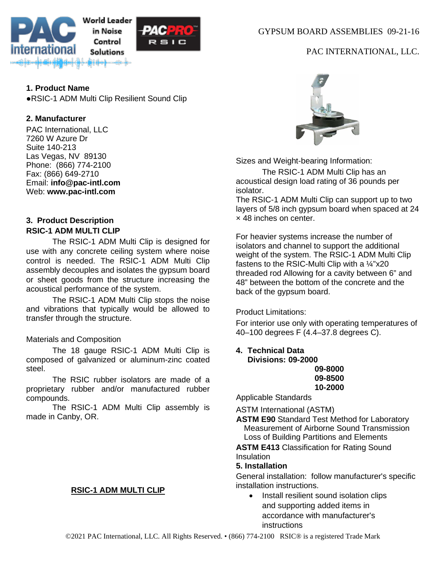

**1. Product Name** ●RSIC-1 ADM Multi Clip Resilient Sound Clip

## **2. Manufacturer**

PAC International, LLC 7260 W Azure Dr Suite 140-213 Las Vegas, NV 89130 Phone: (866) 774-2100 Fax: (866) 649-2710 Email: **[info@pac-intl.com](mailto:info%40pac-intl.com?subject=SpecData%20inquiry)** Web: **[www.pac-intl.com](http://www.pac-intl.com/)**

## **3. Product Description RSIC-1 ADM MULTI CLIP**

The RSIC-1 ADM Multi Clip is designed for use with any concrete ceiling system where noise control is needed. The RSIC-1 ADM Multi Clip assembly decouples and isolates the gypsum board or sheet goods from the structure increasing the acoustical performance of the system.

The RSIC-1 ADM Multi Clip stops the noise and vibrations that typically would be allowed to transfer through the structure.

## Materials and Composition

The 18 gauge RSIC-1 ADM Multi Clip is composed of galvanized or aluminum-zinc coated steel.

The RSIC rubber isolators are made of a proprietary rubber and/or manufactured rubber compounds.

The RSIC-1 ADM Multi Clip assembly is made in Canby, OR.

## **RSIC-1 ADM MULTI CLIP**

GYPSUM BOARD ASSEMBLIES 09-21-16

# PAC INTERNATIONAL, LLC.



Sizes and Weight-bearing Information:

The RSIC-1 ADM Multi Clip has an acoustical design load rating of 36 pounds per isolator.

The RSIC-1 ADM Multi Clip can support up to two layers of 5/8 inch gypsum board when spaced at 24 × 48 inches on center.

For heavier systems increase the number of isolators and channel to support the additional weight of the system. The RSIC-1 ADM Multi Clip fastens to the RSIC-Multi Clip with a ¼"x20 threaded rod Allowing for a cavity between 6" and 48" between the bottom of the concrete and the back of the gypsum board.

Product Limitations:

For interior use only with operating temperatures of 40–100 degrees F (4.4–37.8 degrees C).

**4. Technical Data Divisions: 09-2000**

**09-8000 09-8500 10-2000**

Applicable Standards

ASTM International (ASTM)

**ASTM E90** Standard Test Method for Laboratory Measurement of Airborne Sound Transmission Loss of Building Partitions and Elements

**ASTM E413 Classification for Rating Sound** Insulation

#### **5. Installation**

General installation: follow manufacturer's specific installation instructions.

• Install resilient sound isolation clips and supporting added items in accordance with manufacturer's instructions